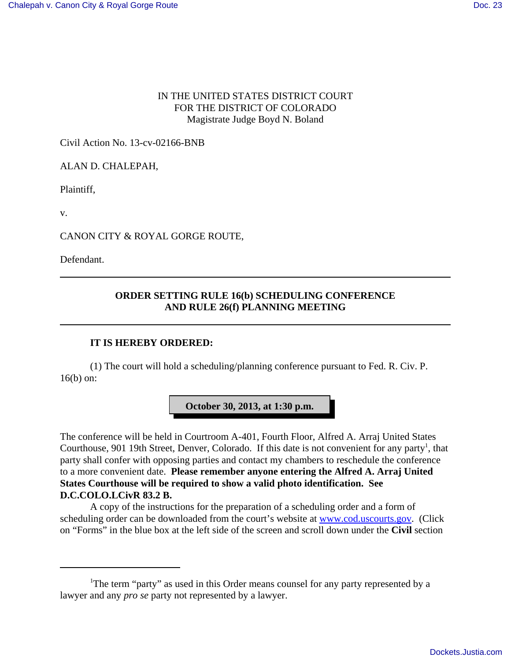## IN THE UNITED STATES DISTRICT COURT FOR THE DISTRICT OF COLORADO Magistrate Judge Boyd N. Boland

Civil Action No. 13-cv-02166-BNB

ALAN D. CHALEPAH,

Plaintiff,

v.

CANON CITY & ROYAL GORGE ROUTE,

Defendant.

## **ORDER SETTING RULE 16(b) SCHEDULING CONFERENCE AND RULE 26(f) PLANNING MEETING**

## **IT IS HEREBY ORDERED:**

(1) The court will hold a scheduling/planning conference pursuant to Fed. R. Civ. P. 16(b) on:

**October 30, 2013, at 1:30 p.m.**

The conference will be held in Courtroom A-401, Fourth Floor, Alfred A. Arraj United States Courthouse, 901 19th Street, Denver, Colorado. If this date is not convenient for any party<sup>1</sup>, that party shall confer with opposing parties and contact my chambers to reschedule the conference to a more convenient date. **Please remember anyone entering the Alfred A. Arraj United States Courthouse will be required to show a valid photo identification. See D.C.COLO.LCivR 83.2 B.**

A copy of the instructions for the preparation of a scheduling order and a form of scheduling order can be downloaded from the court's website at www.cod.uscourts.gov. (Click on "Forms" in the blue box at the left side of the screen and scroll down under the **Civil** section

<sup>&</sup>lt;sup>1</sup>The term "party" as used in this Order means counsel for any party represented by a lawyer and any *pro se* party not represented by a lawyer.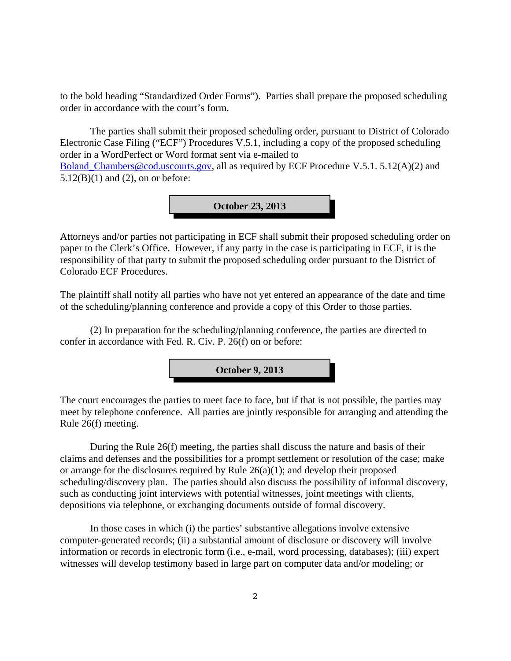to the bold heading "Standardized Order Forms"). Parties shall prepare the proposed scheduling order in accordance with the court's form.

The parties shall submit their proposed scheduling order, pursuant to District of Colorado Electronic Case Filing ("ECF") Procedures V.5.1, including a copy of the proposed scheduling order in a WordPerfect or Word format sent via e-mailed to Boland Chambers@cod.uscourts.gov, all as required by ECF Procedure V.5.1. 5.12(A)(2) and  $5.12(B)(1)$  and  $(2)$ , on or before:



Attorneys and/or parties not participating in ECF shall submit their proposed scheduling order on paper to the Clerk's Office. However, if any party in the case is participating in ECF, it is the responsibility of that party to submit the proposed scheduling order pursuant to the District of Colorado ECF Procedures.

The plaintiff shall notify all parties who have not yet entered an appearance of the date and time of the scheduling/planning conference and provide a copy of this Order to those parties.

(2) In preparation for the scheduling/planning conference, the parties are directed to confer in accordance with Fed. R. Civ. P. 26(f) on or before:



The court encourages the parties to meet face to face, but if that is not possible, the parties may meet by telephone conference. All parties are jointly responsible for arranging and attending the Rule 26(f) meeting.

During the Rule 26(f) meeting, the parties shall discuss the nature and basis of their claims and defenses and the possibilities for a prompt settlement or resolution of the case; make or arrange for the disclosures required by Rule 26(a)(1); and develop their proposed scheduling/discovery plan. The parties should also discuss the possibility of informal discovery, such as conducting joint interviews with potential witnesses, joint meetings with clients, depositions via telephone, or exchanging documents outside of formal discovery.

In those cases in which (i) the parties' substantive allegations involve extensive computer-generated records; (ii) a substantial amount of disclosure or discovery will involve information or records in electronic form (i.e., e-mail, word processing, databases); (iii) expert witnesses will develop testimony based in large part on computer data and/or modeling; or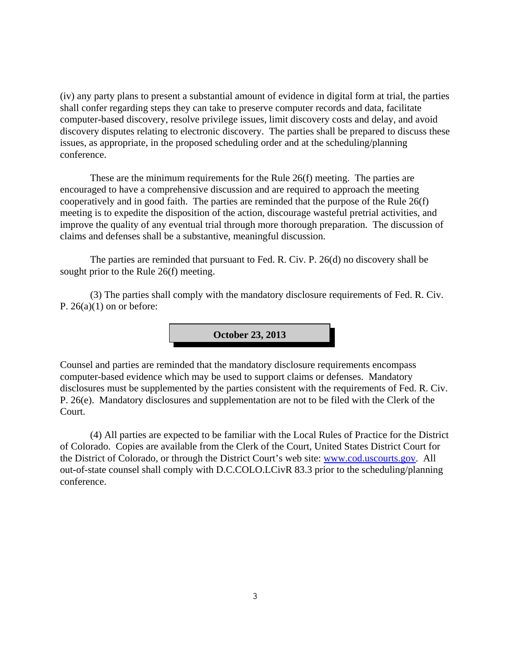(iv) any party plans to present a substantial amount of evidence in digital form at trial, the parties shall confer regarding steps they can take to preserve computer records and data, facilitate computer-based discovery, resolve privilege issues, limit discovery costs and delay, and avoid discovery disputes relating to electronic discovery. The parties shall be prepared to discuss these issues, as appropriate, in the proposed scheduling order and at the scheduling/planning conference.

These are the minimum requirements for the Rule 26(f) meeting. The parties are encouraged to have a comprehensive discussion and are required to approach the meeting cooperatively and in good faith. The parties are reminded that the purpose of the Rule 26(f) meeting is to expedite the disposition of the action, discourage wasteful pretrial activities, and improve the quality of any eventual trial through more thorough preparation. The discussion of claims and defenses shall be a substantive, meaningful discussion.

The parties are reminded that pursuant to Fed. R. Civ. P. 26(d) no discovery shall be sought prior to the Rule 26(f) meeting.

(3) The parties shall comply with the mandatory disclosure requirements of Fed. R. Civ. P.  $26(a)(1)$  on or before:

**October 23, 2013**

Counsel and parties are reminded that the mandatory disclosure requirements encompass computer-based evidence which may be used to support claims or defenses. Mandatory disclosures must be supplemented by the parties consistent with the requirements of Fed. R. Civ. P. 26(e). Mandatory disclosures and supplementation are not to be filed with the Clerk of the Court.

(4) All parties are expected to be familiar with the Local Rules of Practice for the District of Colorado. Copies are available from the Clerk of the Court, United States District Court for the District of Colorado, or through the District Court's web site: www.cod.uscourts.gov. All out-of-state counsel shall comply with D.C.COLO.LCivR 83.3 prior to the scheduling/planning conference.